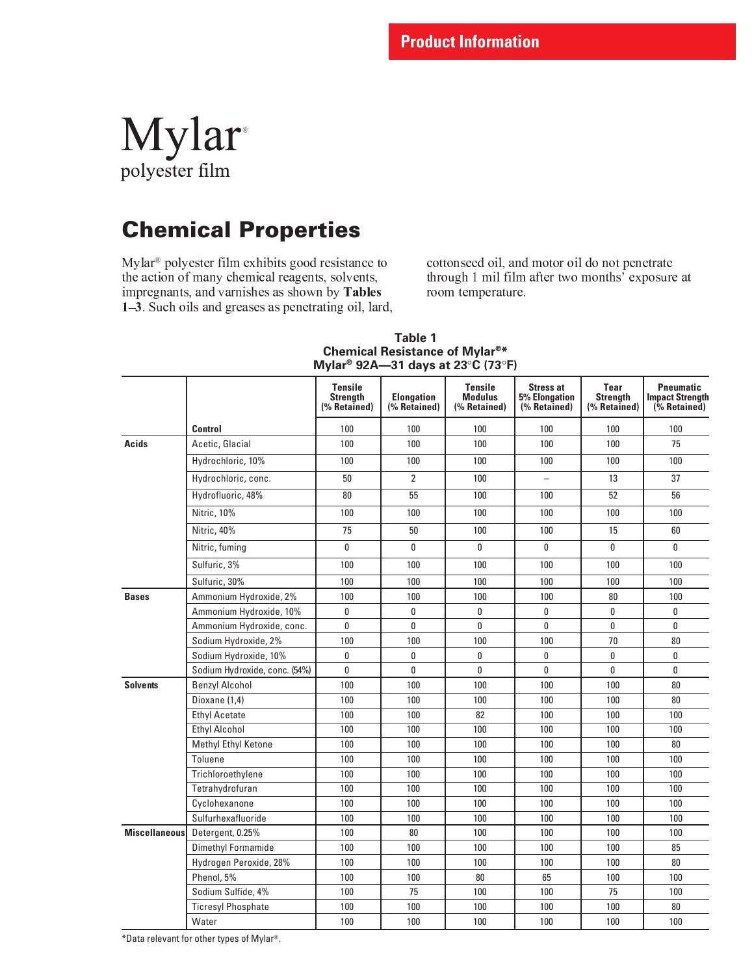# Mylar polyester film

# Chemical Properties

 - -   - - ! " # \$ 

  $\mathbf{A}$  , and  $\mathbf{A}$  , and  $\mathbf{A}$  , and  $\mathbf{A}$  , and  $\mathbf{A}$  , and  $\mathbf{A}$  , and  $\mathbf{A}$ 

|                      |                               | <b>Tensile</b><br><b>Strength</b><br>(% Retained) | <b>Elongation</b><br>(% Retained) | <b>Tensile</b><br><b>Modulus</b><br>(% Retained) | <b>Stress at</b><br><b>5% Elongation</b><br>(% Retained) | Tear<br><b>Strength</b><br>(% Retained) | <b>Pneumatic</b><br><b>Impact Strength</b><br>(% Retained) |
|----------------------|-------------------------------|---------------------------------------------------|-----------------------------------|--------------------------------------------------|----------------------------------------------------------|-----------------------------------------|------------------------------------------------------------|
|                      | <b>Control</b>                | 100                                               | 100                               | 100                                              | 100                                                      | 100                                     | 100                                                        |
| Acids                | Acetic, Glacial               | 100                                               | 100                               | 100                                              | 100                                                      | 100                                     | 75                                                         |
|                      | Hydrochloric, 10%             | 100                                               | 100                               | 100                                              | 100                                                      | 100                                     | 100                                                        |
|                      | Hydrochloric, conc.           | 50                                                | $\overline{2}$                    | 100                                              | $\overline{a}$                                           | 13                                      | 37                                                         |
|                      | Hydrofluoric, 48%             | 80                                                | 55                                | 100                                              | 100                                                      | 52                                      | 56                                                         |
|                      | Nitric, 10%                   | 100                                               | 100                               | 100                                              | 100                                                      | 100                                     | 100                                                        |
|                      | Nitric, 40%                   | 75                                                | 50                                | 100                                              | 100                                                      | 15                                      | 60                                                         |
|                      | Nitric, fuming                | 0                                                 | $\mathbf{0}$                      | 0                                                | $\mathbf{0}$                                             | $\mathbf{0}$                            | $\mathbf{0}$                                               |
|                      | Sulfuric, 3%                  | 100                                               | 100                               | 100                                              | 100                                                      | 100                                     | 100                                                        |
|                      | Sulfuric, 30%                 | 100                                               | 100                               | 100                                              | 100                                                      | 100                                     | 100                                                        |
| <b>Bases</b>         | Ammonium Hydroxide, 2%        | 100                                               | 100                               | 100                                              | 100                                                      | 80                                      | 100                                                        |
|                      | Ammonium Hydroxide, 10%       | 0                                                 | 0                                 | 0                                                | 0                                                        | 0                                       | 0                                                          |
|                      | Ammonium Hydroxide, conc.     | 0                                                 | 0                                 | 0                                                | 0                                                        | 0                                       | 0                                                          |
|                      | Sodium Hydroxide, 2%          | 100                                               | 100                               | 100                                              | 100                                                      | 70                                      | 80                                                         |
|                      | Sodium Hydroxide, 10%         | 0                                                 | 0                                 | 0                                                | 0                                                        | 0                                       | 0                                                          |
|                      | Sodium Hydroxide, conc. (54%) | 0                                                 | 0                                 | 0                                                | 0                                                        | 0                                       | 0                                                          |
| <b>Solvents</b>      | <b>Benzyl Alcohol</b>         | 100                                               | 100                               | 100                                              | 100                                                      | 100                                     | 80                                                         |
|                      | Dioxane (1,4)                 | 100                                               | 100                               | 100                                              | 100                                                      | 100                                     | 80                                                         |
|                      | <b>Ethyl Acetate</b>          | 100                                               | 100                               | 82                                               | 100                                                      | 100                                     | 100                                                        |
|                      | <b>Ethyl Alcohol</b>          | 100                                               | 100                               | 100                                              | 100                                                      | 100                                     | 100                                                        |
|                      | Methyl Ethyl Ketone           | 100                                               | 100                               | 100                                              | 100                                                      | 100                                     | $80\,$                                                     |
|                      | Toluene                       | 100                                               | 100                               | 100                                              | 100                                                      | 100                                     | 100                                                        |
|                      | Trichloroethylene             | 100                                               | 100                               | 100                                              | 100                                                      | 100                                     | 100                                                        |
|                      | Tetrahydrofuran               | 100                                               | 100                               | 100                                              | 100                                                      | 100                                     | 100                                                        |
|                      | Cyclohexanone                 | 100                                               | 100                               | 100                                              | 100                                                      | 100                                     | 100                                                        |
|                      | Sulfurhexafluoride            | 100                                               | 100                               | 100                                              | 100                                                      | 100                                     | 100                                                        |
| <b>Miscellaneous</b> | Detergent, 0.25%              | 100                                               | 80                                | 100                                              | 100                                                      | 100                                     | 100                                                        |
|                      | Dimethyl Formamide            | 100                                               | 100                               | 100                                              | 100                                                      | 100                                     | 85                                                         |
|                      | Hydrogen Peroxide, 28%        | 100                                               | 100                               | 100                                              | 100                                                      | 100                                     | 80                                                         |
|                      | Phenol, 5%                    | 100                                               | 100                               | 80                                               | 65                                                       | 100                                     | 100                                                        |
|                      | Sodium Sulfide, 4%            | 100                                               | 75                                | 100                                              | 100                                                      | 75                                      | 100                                                        |
|                      | <b>Ticresyl Phosphate</b>     | 100                                               | 100                               | 100                                              | 100                                                      | 100                                     | 80                                                         |
|                      | Water                         | 100                                               | 100                               | 100                                              | 100                                                      | 100                                     | 100                                                        |

#### **Table 1 Chemical Resistance of Mylar®\* Mylar® 92A—31 days at 23**°**C (73**°**F)**

\*Data relevant for other types of Mylar®.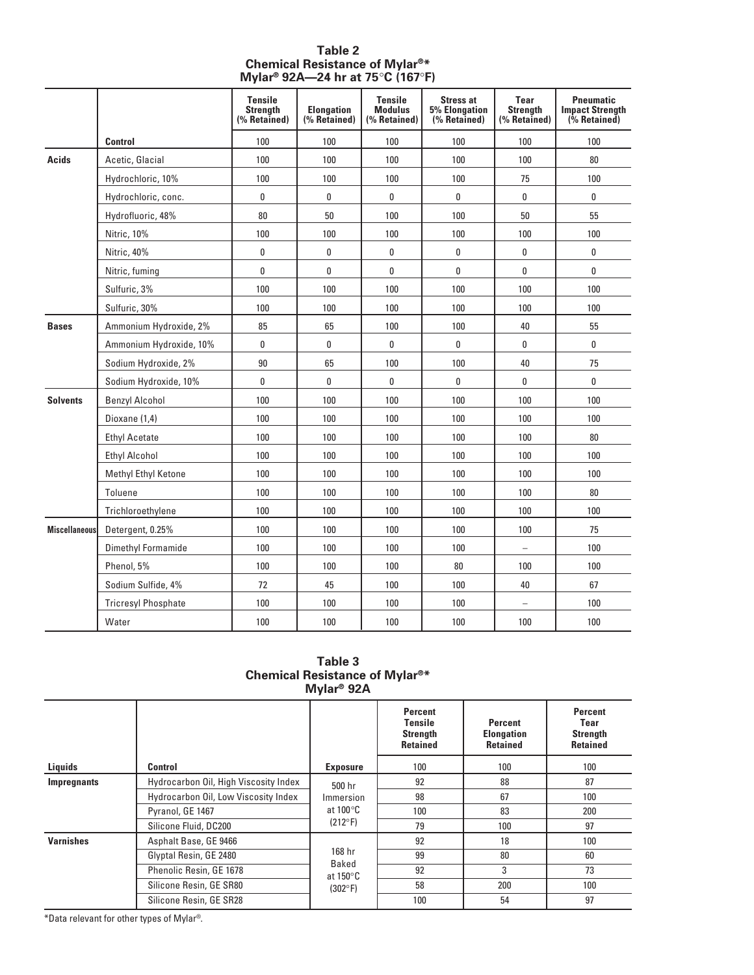|                      |                            | <b>Tensile</b><br><b>Strenath</b><br>(% Retained) | <b>Elongation</b><br>(% Retained) | <b>Tensile</b><br><b>Modulus</b><br>(% Retained) | <b>Stress at</b><br><b>5% Elongation</b><br>(% Retained) | Tear<br><b>Strength</b><br>(% Retained) | <b>Pneumatic</b><br><b>Impact Strength</b><br>$(*)$ Retained) |
|----------------------|----------------------------|---------------------------------------------------|-----------------------------------|--------------------------------------------------|----------------------------------------------------------|-----------------------------------------|---------------------------------------------------------------|
|                      | <b>Control</b>             | 100                                               | 100                               | 100                                              | 100                                                      | 100                                     | 100                                                           |
| Acids                | Acetic, Glacial            | 100                                               | 100                               | 100                                              | 100                                                      | 100                                     | 80                                                            |
|                      | Hydrochloric, 10%          | 100                                               | 100                               | 100                                              | 100                                                      | 75                                      | 100                                                           |
|                      | Hydrochloric, conc.        | 0                                                 | 0                                 | 0                                                | 0                                                        | 0                                       | 0                                                             |
|                      | Hydrofluoric, 48%          | 80                                                | 50                                | 100                                              | 100                                                      | 50                                      | 55                                                            |
|                      | Nitric, 10%                | 100                                               | 100                               | 100                                              | 100                                                      | 100                                     | 100                                                           |
|                      | Nitric, 40%                | 0                                                 | 0                                 | 0                                                | 0                                                        | 0                                       | 0                                                             |
|                      | Nitric, fuming             | 0                                                 | 0                                 | 0                                                | 0                                                        | 0                                       | 0                                                             |
|                      | Sulfuric, 3%               | 100                                               | 100                               | 100                                              | 100                                                      | 100                                     | 100                                                           |
|                      | Sulfuric, 30%              | 100                                               | 100                               | 100                                              | 100                                                      | 100                                     | 100                                                           |
| <b>Bases</b>         | Ammonium Hydroxide, 2%     | 85                                                | 65                                | 100                                              | 100                                                      | 40                                      | 55                                                            |
|                      | Ammonium Hydroxide, 10%    | 0                                                 | 0                                 | 0                                                | 0                                                        | 0                                       | 0                                                             |
|                      | Sodium Hydroxide, 2%       | $90\,$                                            | 65                                | 100                                              | 100                                                      | 40                                      | 75                                                            |
|                      | Sodium Hydroxide, 10%      | 0                                                 | 0                                 | 0                                                | 0                                                        | 0                                       | 0                                                             |
| <b>Solvents</b>      | <b>Benzyl Alcohol</b>      | 100                                               | 100                               | 100                                              | 100                                                      | 100                                     | 100                                                           |
|                      | Dioxane (1,4)              | 100                                               | 100                               | 100                                              | 100                                                      | 100                                     | 100                                                           |
|                      | <b>Ethyl Acetate</b>       | 100                                               | 100                               | 100                                              | 100                                                      | 100                                     | 80                                                            |
|                      | <b>Ethyl Alcohol</b>       | 100                                               | 100                               | 100                                              | 100                                                      | 100                                     | 100                                                           |
|                      | Methyl Ethyl Ketone        | 100                                               | 100                               | 100                                              | 100                                                      | 100                                     | 100                                                           |
|                      | Toluene                    | 100                                               | 100                               | 100                                              | 100                                                      | 100                                     | $80\,$                                                        |
|                      | Trichloroethylene          | 100                                               | 100                               | 100                                              | 100                                                      | 100                                     | 100                                                           |
| <b>Miscellaneous</b> | Detergent, 0.25%           | 100                                               | 100                               | 100                                              | 100                                                      | 100                                     | 75                                                            |
|                      | Dimethyl Formamide         | 100                                               | 100                               | 100                                              | 100                                                      | $\overline{\phantom{0}}$                | 100                                                           |
|                      | Phenol, 5%                 | 100                                               | 100                               | 100                                              | 80                                                       | 100                                     | 100                                                           |
|                      | Sodium Sulfide, 4%         | 72                                                | 45                                | 100                                              | 100                                                      | 40                                      | 67                                                            |
|                      | <b>Tricresyl Phosphate</b> | 100                                               | 100                               | 100                                              | 100                                                      | $\overline{\phantom{0}}$                | 100                                                           |
|                      | Water                      | 100                                               | 100                               | 100                                              | 100                                                      | 100                                     | 100                                                           |

#### **Table 2 Chemical Resistance of Mylar®\* Mylar® 92A—24 hr at 75**°**C (167**°**F)**

#### **Table 3 Chemical Resistance of Mylar®\* Mylar® 92A**

|                  |                                       |                                       | Percent<br><b>Tensile</b><br><b>Strength</b><br><b>Retained</b> | <b>Percent</b><br><b>Elongation</b><br><b>Retained</b> | Percent<br>Tear<br><b>Strength</b><br><b>Retained</b> |  |  |
|------------------|---------------------------------------|---------------------------------------|-----------------------------------------------------------------|--------------------------------------------------------|-------------------------------------------------------|--|--|
| Liquids          | Control                               | <b>Exposure</b>                       | 100                                                             | 100                                                    | 100                                                   |  |  |
| Impregnants      | Hydrocarbon Oil, High Viscosity Index | 500 hr<br>Immersion                   | 92                                                              | 88                                                     | 87                                                    |  |  |
|                  | Hydrocarbon Oil, Low Viscosity Index  |                                       | 98                                                              | 67                                                     | 100                                                   |  |  |
|                  | Pyranol, GE 1467                      | at 100 $\degree$ C                    | 100                                                             | 83                                                     | 200                                                   |  |  |
|                  | Silicone Fluid, DC200                 | $(212^{\circ}F)$                      | 79                                                              | 100                                                    | 97                                                    |  |  |
| <b>Varnishes</b> | Asphalt Base, GE 9466                 | 168 hr<br>Baked<br>at 150 $\degree$ C | 92                                                              | 18                                                     | 100                                                   |  |  |
|                  | Glyptal Resin, GE 2480                |                                       | 99                                                              | 80                                                     | 60                                                    |  |  |
|                  | Phenolic Resin, GE 1678               |                                       | 92                                                              | 3                                                      | 73                                                    |  |  |
|                  | Silicone Resin, GE SR80               | $(302^{\circ}F)$                      | 58                                                              | 200                                                    | 100                                                   |  |  |
|                  | Silicone Resin, GE SR28               |                                       | 100                                                             | 54                                                     | 97                                                    |  |  |
|                  |                                       |                                       |                                                                 |                                                        |                                                       |  |  |

\*Data relevant for other types of Mylar®.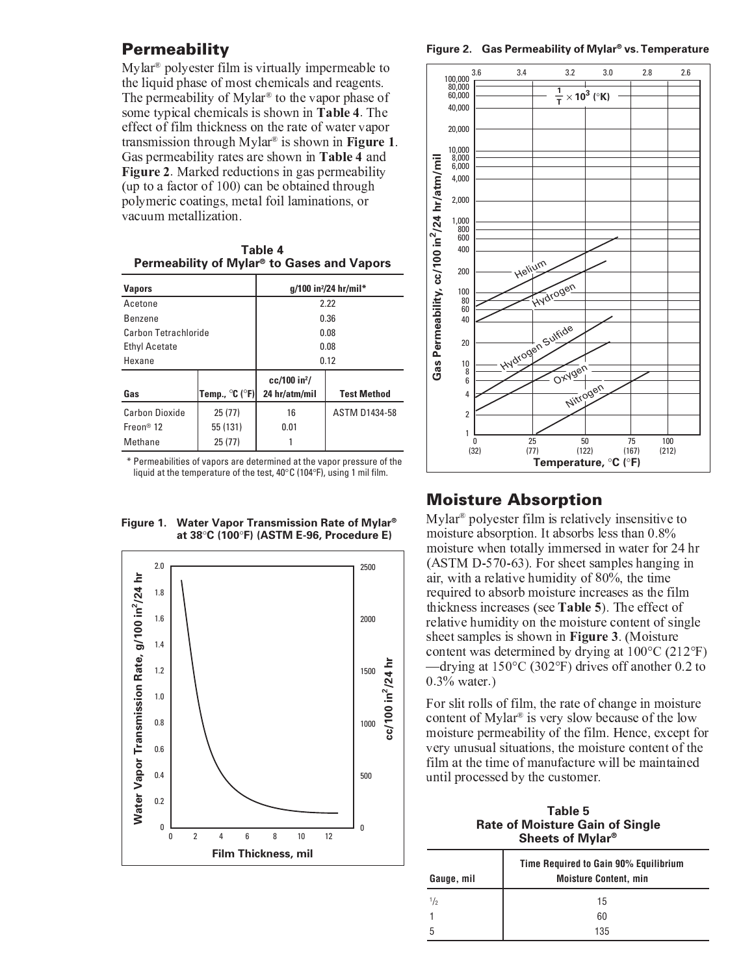## **Permeability**

 - -  \$ the liquid phase of most chemicals and reagents ( -  -  - ) " (  $\overline{a}$  .  $\overline{a}$  ,  $\overline{a}$  ,  $\overline{a}$  ,  $\overline{a}$  ,  $\overline{a}$  ,  $\overline{a}$  ,  $\overline{a}$  ,  $\overline{a}$  ,  $\overline{a}$  ,  $\overline{a}$  ,  $\overline{a}$  ,  $\overline{a}$  ,  $\overline{a}$  ,  $\overline{a}$  ,  $\overline{a}$  ,  $\overline{a}$  ,  $\overline{a}$  ,  $\overline{a}$  ,  $\overline{a}$  , \$ - <sup>+</sup> , - . / " <sup>0</sup> - ) <sup>+</sup> , - . / <sup>1</sup> " \* \$ -  $\alpha$  and  $\alpha$  and  $\alpha$  and  $\alpha$  and  $\alpha$  and  $\alpha$  and  $\alpha$  and  $\alpha$  vacuum metallization.

#### **Table 4 Permeability of Mylar® to Gases and Vapors**

| <b>Vapors</b>               |                                     | q/100 in <sup>2</sup> /24 hr/mil* |                      |  |  |
|-----------------------------|-------------------------------------|-----------------------------------|----------------------|--|--|
| Acetone                     |                                     | 2.22                              |                      |  |  |
| <b>Benzene</b>              |                                     | 0.36                              |                      |  |  |
| <b>Carbon Tetrachloride</b> |                                     | 0.08                              |                      |  |  |
| <b>Ethyl Acetate</b>        |                                     | 0.08                              |                      |  |  |
| Hexane                      |                                     | 0.12                              |                      |  |  |
|                             |                                     | $cc/100$ in <sup>2</sup> /        |                      |  |  |
| Gas                         | Temp., $^{\circ}$ C ( $^{\circ}$ F) | 24 hr/atm/mil                     | <b>Test Method</b>   |  |  |
| Carbon Dioxide              | 25(77)                              | 16                                | <b>ASTM D1434-58</b> |  |  |
| Frenn <sup>®</sup> 12       | 55 (131)                            |                                   |                      |  |  |
| Methane                     | 25(77)                              |                                   |                      |  |  |

\* Permeabilities of vapors are determined at the vapor pressure of the liquid at the temperature of the test, 40°C (104°F), using 1 mil film.





**Figure 2. Gas Permeability of Mylar® vs. Temperature**



# Moisture Absorption

 - -  - \$ " <sup>6</sup> <sup>3</sup> " <sup>7</sup> <sup>8</sup> \$ -  <sup>9</sup> :  $\overline{a}$  ; a constant  $\overline{a}$  and  $\overline{a}$  and  $\overline{a}$  and  $\overline{a}$  and  $\overline{a}$  and  $\overline{a}$  and  $\overline{a}$  and  $\overline{a}$  and  $\overline{a}$  and  $\overline{a}$  and  $\overline{a}$  and  $\overline{a}$  and  $\overline{a}$  and  $\overline{a}$  and  $\overline{a}$  and  $\overline$  $\mathbf{1}$  ,  $\mathbf{1}$  ,  $\mathbf{1}$  ,  $\mathbf{1}$  ,  $\mathbf{1}$  ,  $\mathbf{1}$  ,  $\mathbf{1}$  ,  $\mathbf{1}$  ,  $\mathbf{1}$  ,  $\mathbf{1}$  ,  $\mathbf{1}$  ,  $\mathbf{1}$  ,  $\mathbf{1}$  ,  $\mathbf{1}$  ,  $\mathbf{1}$  ,  $\mathbf{1}$  ,  $\mathbf{1}$  ,  $\mathbf{1}$  ,  $\mathbf{1}$  ,  $\mathbf{1}$  , required to absorb moisture increases as the fil \* <sup>2</sup> <sup>C</sup> <sup>4</sup> " (    \$ - \$   $\rightarrow$  ,  $\rightarrow$  ,  $\rightarrow$  ,  $\rightarrow$  ,  $\rightarrow$  ,  $\rightarrow$  ,  $\rightarrow$  ,  $\rightarrow$  ,  $\rightarrow$  ,  $\rightarrow$  ,  $\rightarrow$  ,  $\rightarrow$  ,  $\rightarrow$  ,  $\rightarrow$  ,  $\rightarrow$  ,  $\rightarrow$  ,  $\rightarrow$  ,  $\rightarrow$  ,  $\rightarrow$  ,  $\rightarrow$  ,  $\rightarrow$  ,  $\rightarrow$  ,  $\rightarrow$  ,  $\rightarrow$  ,  $\rightarrow$  ,  $\rightarrow$  ,  $\rightarrow$  ,  $\rightarrow$  ,  $\rightarrow$  ,  $\rightarrow$  ,  $\rightarrow$  ,  $\rightarrow$ content was determined by drying at  $100^{\circ}$ C (212<sup>o</sup>F) drving at 150°C (302°F) drives off another 0.2 to <sup>3</sup> " <sup>A</sup> <sup>8</sup> " <sup>4</sup>

 $\mathbf{B}$  and  $\mathbf{B}$  and  $\mathbf{A}$  and  $\mathbf{A}$  and  $\mathbf{A}$  and  $\mathbf{A}$  and  $\mathbf{A}$  and  $\mathbf{A}$  and  $\mathbf{A}$  and  $\mathbf{A}$  and  $\mathbf{A}$  and  $\mathbf{A}$  and  $\mathbf{A}$  and  $\mathbf{A}$  and  $\mathbf{A}$  and  $\mathbf{A}$  and  $\mathbf{A}$  and  - - \$   $\bullet$  . The set of the set of the set of the set of the set of the set of the set of the set of the set of the set of the set of the set of the set of the set of the set of the set of the set of the set of the set of the s - \$ \$ \$ \$ \$    \$  \$ \$ - \$ "

**Table 5 Rate of Moisture Gain of Single Sheets of Mylar®**

| Gauge, mil    | Time Required to Gain 90% Equilibrium<br><b>Moisture Content, min</b> |  |  |  |  |
|---------------|-----------------------------------------------------------------------|--|--|--|--|
| $\frac{1}{2}$ | 15                                                                    |  |  |  |  |
|               | 60                                                                    |  |  |  |  |
| h             | 135                                                                   |  |  |  |  |